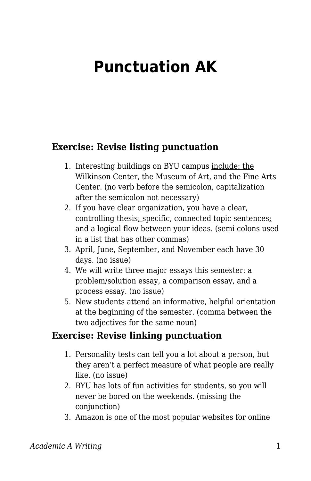## **Punctuation AK**

## **Exercise: Revise listing punctuation**

- 1. Interesting buildings on BYU campus include: the Wilkinson Center, the Museum of Art, and the Fine Arts Center. (no verb before the semicolon, capitalization after the semicolon not necessary)
- 2. If you have clear organization, you have a clear, controlling thesis; specific, connected topic sentences; and a logical flow between your ideas. (semi colons used in a list that has other commas)
- 3. April, June, September, and November each have 30 days. (no issue)
- 4. We will write three major essays this semester: a problem/solution essay, a comparison essay, and a process essay. (no issue)
- 5. New students attend an informative, helpful orientation at the beginning of the semester. (comma between the two adjectives for the same noun)

## **Exercise: Revise linking punctuation**

- 1. Personality tests can tell you a lot about a person, but they aren't a perfect measure of what people are really like. (no issue)
- 2. BYU has lots of fun activities for students, so you will never be bored on the weekends. (missing the conjunction)
- 3. Amazon is one of the most popular websites for online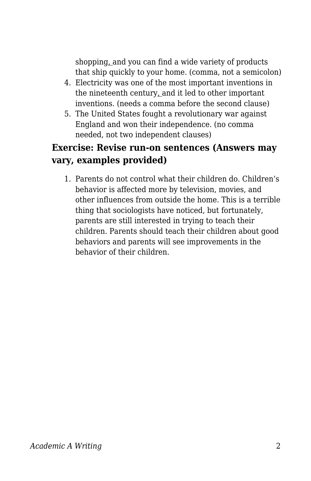shopping, and you can find a wide variety of products that ship quickly to your home. (comma, not a semicolon)

- 4. Electricity was one of the most important inventions in the nineteenth century, and it led to other important inventions. (needs a comma before the second clause)
- 5. The United States fought a revolutionary war against England and won their independence. (no comma needed, not two independent clauses)

## **Exercise: Revise run-on sentences (Answers may vary, examples provided)**

1. Parents do not control what their children do. Children's behavior is affected more by television, movies, and other influences from outside the home. This is a terrible thing that sociologists have noticed, but fortunately, parents are still interested in trying to teach their children. Parents should teach their children about good behaviors and parents will see improvements in the behavior of their children.